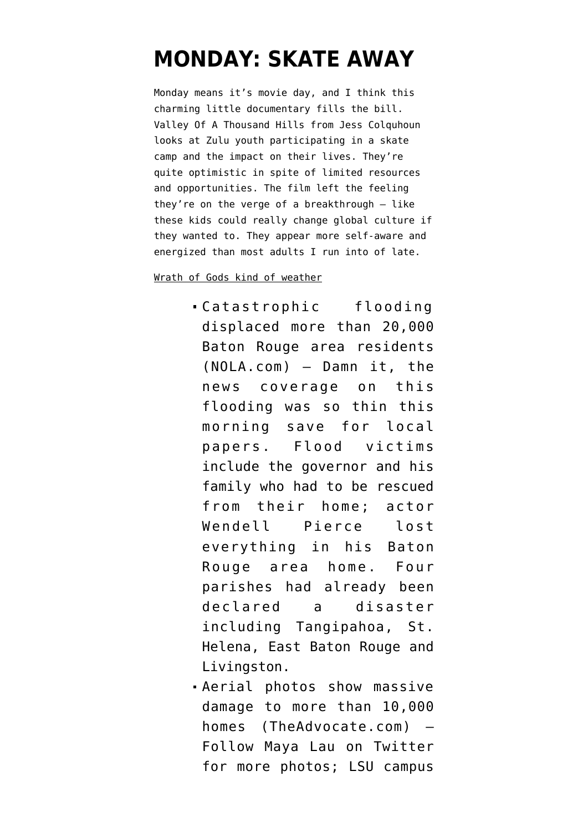## **[MONDAY: SKATE AWAY](https://www.emptywheel.net/2016/08/15/monday-skate-away/)**

Monday means it's movie day, and I think this charming little documentary fills the bill. [Valley Of A Thousand Hills](https://vimeo.com/169598313) from [Jess Colquhoun](https://vimeo.com/jccolquhoun) looks at Zulu youth participating in a skate camp and the impact on their lives. They're quite optimistic in spite of limited resources and opportunities. The film left the feeling they're on the verge of a breakthrough  $-$  like these kids could really change global culture if they wanted to. They appear more self-aware and energized than most adults I run into of late.

Wrath of Gods kind of weather

- [Catastrophic flooding](http://www.nola.com/weather/index.ssf/2016/08/louisiana_flooding_whats_happe.html) [displaced more than 20,000](http://www.nola.com/weather/index.ssf/2016/08/louisiana_flooding_whats_happe.html) [Baton Rouge area residents](http://www.nola.com/weather/index.ssf/2016/08/louisiana_flooding_whats_happe.html) (NOLA.com) — Damn it, the news coverage on this flooding was so thin this morning save for local papers. Flood victims include the governor and his family who had to be rescued from their home; actor Wendell Pierce lost everything in his Baton Rouge area home. Four parishes had already been declared a disaster including Tangipahoa, St. Helena, East Baton Rouge and Livingston.
- [Aerial photos show massive](http://www.theadvocate.com/baton_rouge/news/weather_traffic/article_61a4103c-60d8-11e6-831b-9fc5381451c0.html) [damage to more than 10,000](http://www.theadvocate.com/baton_rouge/news/weather_traffic/article_61a4103c-60d8-11e6-831b-9fc5381451c0.html) [homes](http://www.theadvocate.com/baton_rouge/news/weather_traffic/article_61a4103c-60d8-11e6-831b-9fc5381451c0.html) (TheAdvocate.com) — Follow [Maya Lau on Twitter](https://twitter.com/mayalau) for more photos; LSU campus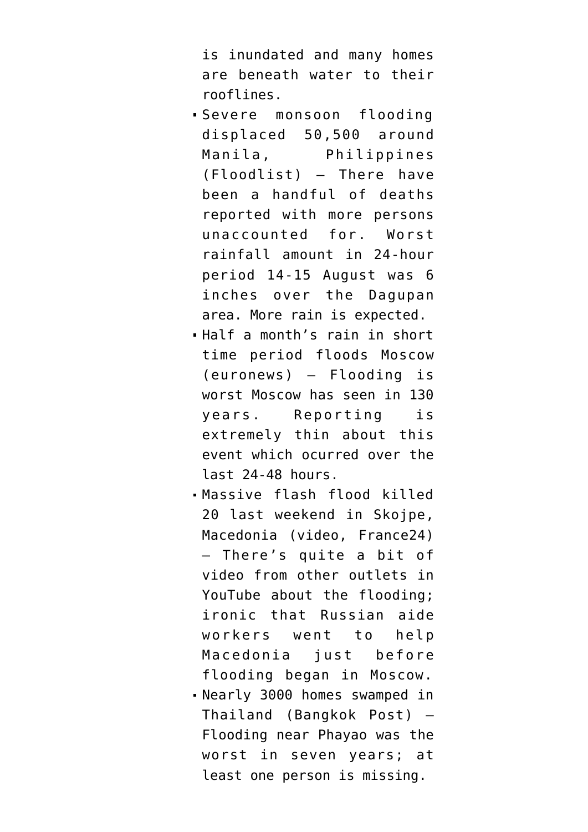is inundated and many homes are beneath water to their rooflines.

- [Severe monsoon flooding](http://floodlist.com/asia/philippines-floods-manila-central-luzon-calabarzon-august-2016) [displaced 50,500 around](http://floodlist.com/asia/philippines-floods-manila-central-luzon-calabarzon-august-2016) [Manila, Philippines](http://floodlist.com/asia/philippines-floods-manila-central-luzon-calabarzon-august-2016) (Floodlist) — There have been a handful of deaths reported with more persons unaccounted for. Worst rainfall amount in 24-hour period 14-15 August was 6 inches over the Dagupan area. More rain is expected.
- [Half a month's rain in short](http://www.euronews.com/2016/08/15/moscow-sees-worst-rains-in-130-years) [time period floods Moscow](http://www.euronews.com/2016/08/15/moscow-sees-worst-rains-in-130-years) (euronews) — Flooding is worst Moscow has seen in 130 years. Reporting is extremely thin about this event which ocurred over the last 24-48 hours.
- [Massive flash flood killed](https://www.youtube.com/watch?v=zb1g7AT1N3k) [20 last weekend in Skojpe,](https://www.youtube.com/watch?v=zb1g7AT1N3k) [Macedonia](https://www.youtube.com/watch?v=zb1g7AT1N3k) (video, France24) — There's quite a bit of video from other outlets in YouTube about the flooding; ironic that Russian aide workers went to help Macedonia just before flooding began in Moscow. [Nearly 3000 homes swamped in](http://www.bangkokpost.com/news/general/1062229/floods-inundate-2-900-houses-in-phayao) [Thailand](http://www.bangkokpost.com/news/general/1062229/floods-inundate-2-900-houses-in-phayao) (Bangkok Post) — Flooding near Phayao was the worst in seven years; at least one person is missing.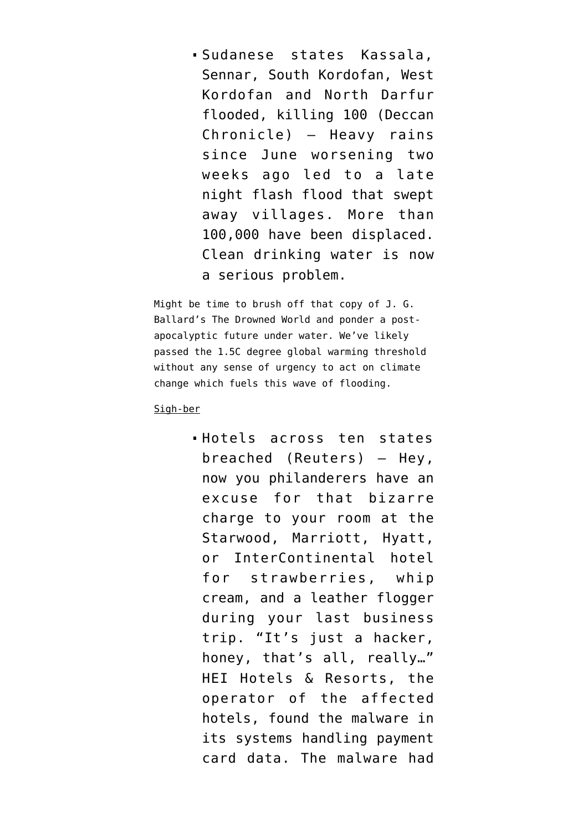[Sudanese states Kassala,](http://www.deccanchronicle.com/world/africa/150816/100-dead-thousands-of-houses-destroyed-in-sudan-floods.html) [Sennar, South Kordofan, West](http://www.deccanchronicle.com/world/africa/150816/100-dead-thousands-of-houses-destroyed-in-sudan-floods.html) [Kordofan and North Darfur](http://www.deccanchronicle.com/world/africa/150816/100-dead-thousands-of-houses-destroyed-in-sudan-floods.html) [flooded, killing 100](http://www.deccanchronicle.com/world/africa/150816/100-dead-thousands-of-houses-destroyed-in-sudan-floods.html) (Deccan Chronicle) — Heavy rains since June worsening two weeks ago led to a late night flash flood that swept away villages. More than 100,000 have been displaced. Clean drinking water is now a serious problem.

Might be time to brush off that copy of J. G. Ballard's [The Drowned World](https://en.wikipedia.org/wiki/The_Drowned_World) and ponder a postapocalyptic future under water. We've likely [passed the 1.5C degree global warming threshold](https://theconversation.com/we-have-almost-certainly-blown-the-1-5-degree-global-warming-target-63720) without any sense of urgency to act on climate change which fuels this wave of flooding.

Sigh-ber

[Hotels across ten states](http://www.reuters.com/article/us-hotels-cyber-idUSKCN10P0ZM) [breached](http://www.reuters.com/article/us-hotels-cyber-idUSKCN10P0ZM) (Reuters) — Hey, now you philanderers have an excuse for that bizarre charge to your room at the Starwood, Marriott, Hyatt, or InterContinental hotel for strawberries, whip cream, and a leather flogger during your last business trip. "It's just a hacker, honey, that's all, really…" HEI Hotels & Resorts, the operator of the affected hotels, found the malware in its systems handling payment card data. The malware had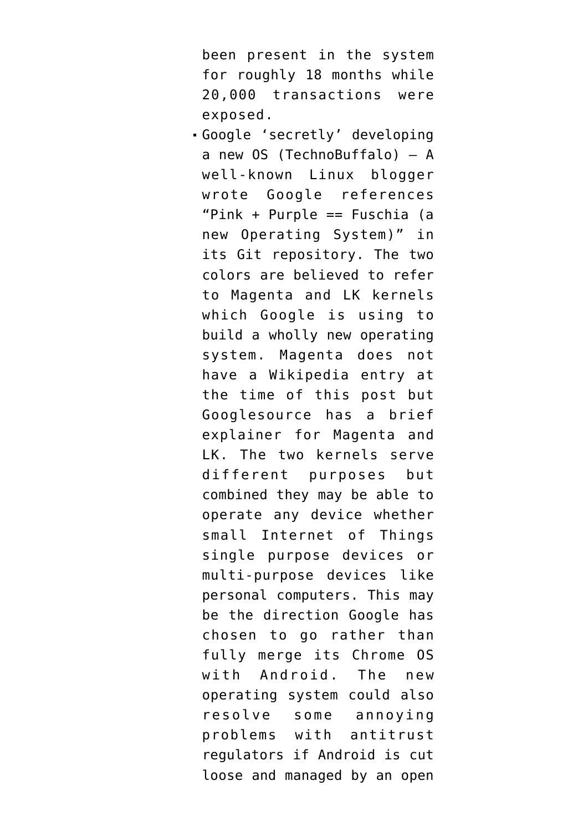been present in the system for roughly 18 months while 20,000 transactions were exposed.

[Google 'secretly' developing](http://www.technobuffalo.com/2016/08/12/google-new-operating-system-fuchsia/) [a new OS](http://www.technobuffalo.com/2016/08/12/google-new-operating-system-fuchsia/) (TechnoBuffalo) — A well-known Linux blogger wrote Google references "Pink + Purple == Fuschia (a new Operating System)" in its Git repository. The two colors are believed to refer to Magenta and LK kernels which Google is using to build a wholly new operating system. Magenta does not have a Wikipedia entry at the time of this post but Googlesource has a [brief](https://fuchsia.googlesource.com/magenta/+/HEAD/docs/mg_and_lk.md) [explainer for Magenta and](https://fuchsia.googlesource.com/magenta/+/HEAD/docs/mg_and_lk.md) [LK.](https://fuchsia.googlesource.com/magenta/+/HEAD/docs/mg_and_lk.md) The two kernels serve different purposes but combined they may be able to operate any device whether small Internet of Things single purpose devices or multi-purpose devices like personal computers. This may be the direction Google has chosen to go rather than fully merge its Chrome OS with Android. The new operating system could also resolve some annoying problems with antitrust regulators if Android is cut loose and managed by an open